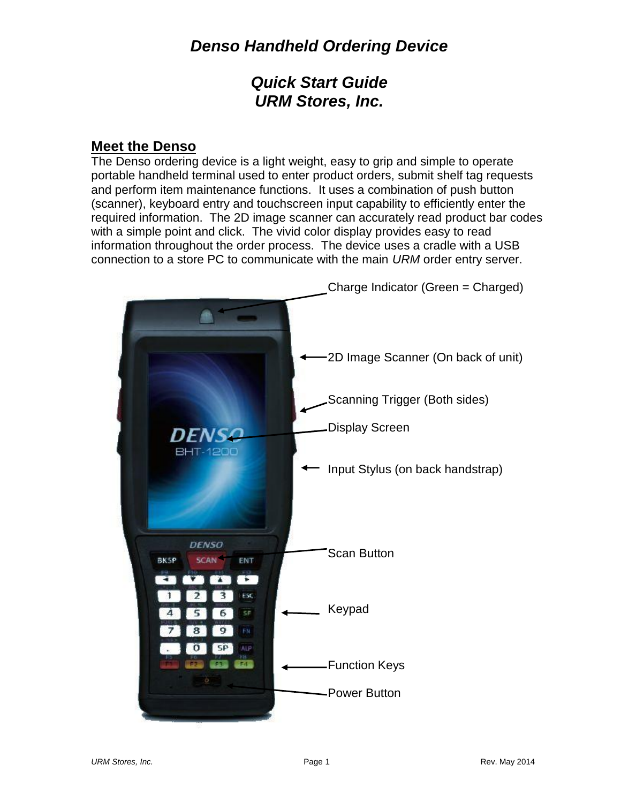## *Quick Start Guide URM Stores, Inc.*

### **Meet the Denso**

The Denso ordering device is a light weight, easy to grip and simple to operate portable handheld terminal used to enter product orders, submit shelf tag requests and perform item maintenance functions. It uses a combination of push button (scanner), keyboard entry and touchscreen input capability to efficiently enter the required information. The 2D image scanner can accurately read product bar codes with a simple point and click. The vivid color display provides easy to read information throughout the order process. The device uses a cradle with a USB connection to a store PC to communicate with the main *URM* order entry server.

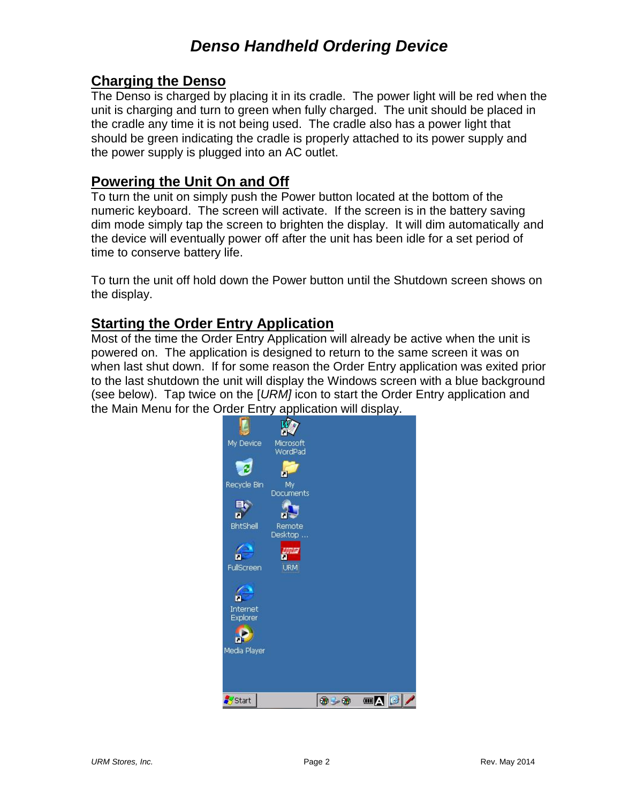### **Charging the Denso**

The Denso is charged by placing it in its cradle. The power light will be red when the unit is charging and turn to green when fully charged. The unit should be placed in the cradle any time it is not being used. The cradle also has a power light that should be green indicating the cradle is properly attached to its power supply and the power supply is plugged into an AC outlet.

#### **Powering the Unit On and Off**

To turn the unit on simply push the Power button located at the bottom of the numeric keyboard. The screen will activate. If the screen is in the battery saving dim mode simply tap the screen to brighten the display. It will dim automatically and the device will eventually power off after the unit has been idle for a set period of time to conserve battery life.

To turn the unit off hold down the Power button until the Shutdown screen shows on the display.

### **Starting the Order Entry Application**

Most of the time the Order Entry Application will already be active when the unit is powered on. The application is designed to return to the same screen it was on when last shut down. If for some reason the Order Entry application was exited prior to the last shutdown the unit will display the Windows screen with a blue background (see below). Tap twice on the [*URM]* icon to start the Order Entry application and the Main Menu for the Order Entry application will display.

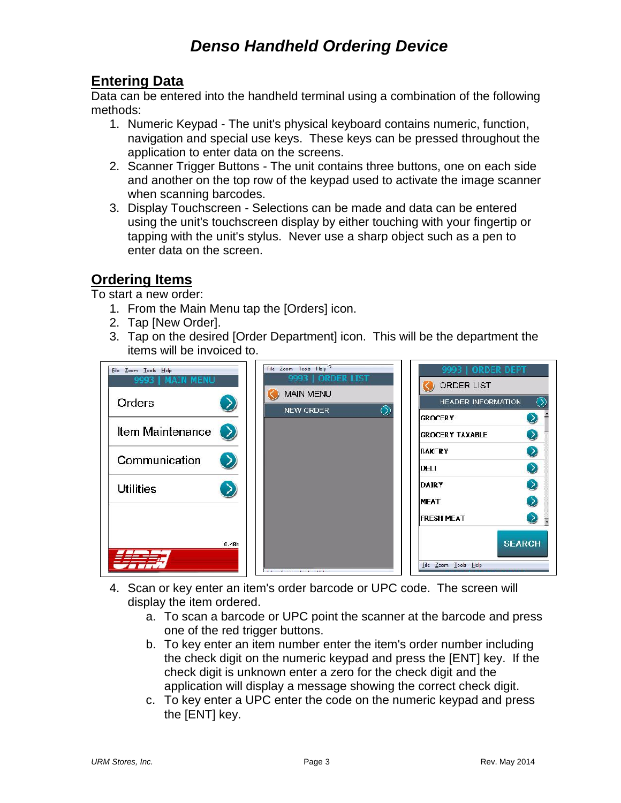### **Entering Data**

Data can be entered into the handheld terminal using a combination of the following methods:

- 1. Numeric Keypad The unit's physical keyboard contains numeric, function, navigation and special use keys. These keys can be pressed throughout the application to enter data on the screens.
- 2. Scanner Trigger Buttons The unit contains three buttons, one on each side and another on the top row of the keypad used to activate the image scanner when scanning barcodes.
- 3. Display Touchscreen Selections can be made and data can be entered using the unit's touchscreen display by either touching with your fingertip or tapping with the unit's stylus. Never use a sharp object such as a pen to enter data on the screen.

### **Ordering Items**

To start a new order:

- 1. From the Main Menu tap the [Orders] icon.
- 2. Tap [New Order].
- 3. Tap on the desired [Order Department] icon. This will be the department the items will be invoiced to.



- 4. Scan or key enter an item's order barcode or UPC code. The screen will display the item ordered.
	- a. To scan a barcode or UPC point the scanner at the barcode and press one of the red trigger buttons.
	- b. To key enter an item number enter the item's order number including the check digit on the numeric keypad and press the [ENT] key. If the check digit is unknown enter a zero for the check digit and the application will display a message showing the correct check digit.
	- c. To key enter a UPC enter the code on the numeric keypad and press the [ENT] key.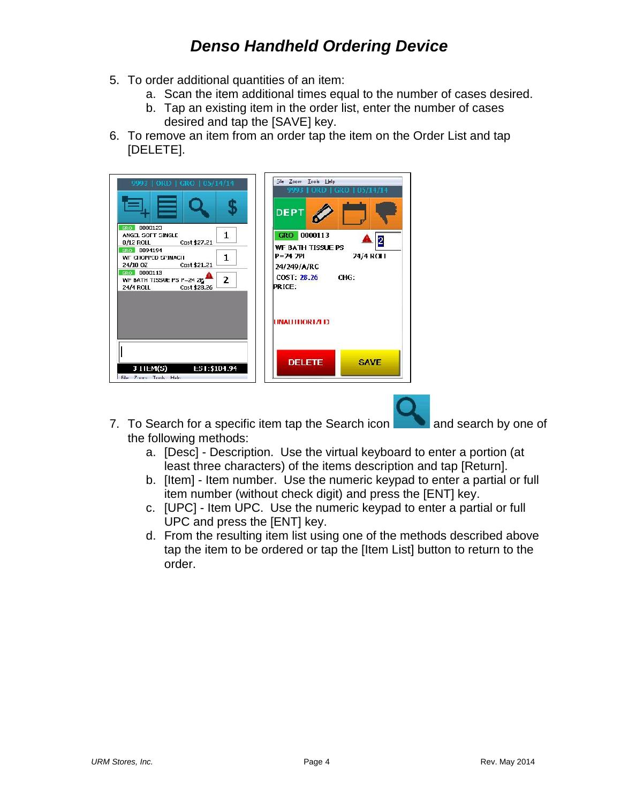- 5. To order additional quantities of an item:
	- a. Scan the item additional times equal to the number of cases desired.
	- b. Tap an existing item in the order list, enter the number of cases desired and tap the [SAVE] key.
- 6. To remove an item from an order tap the item on the Order List and tap [DELETE].

| 9993   ORD   GRO   05/14/14                                                                    | Die Zoom Loois Help<br>9993   ORD   GRO   05/14/14<br><b>DEPT</b>    |
|------------------------------------------------------------------------------------------------|----------------------------------------------------------------------|
| 0000123<br>GRO  <br>1.<br>ANGEL SOFT SINGLE<br>0/12 ROLL Cost \$27.21                          | GRO 0000113<br>2                                                     |
| GRO 0094194<br>1.<br>WE CHOPPED SPINACH.<br>24/10 OZ Cost \$21.21                              | <b>WF BATH TISSUE PS</b><br>24/4 ROLL<br>$P = 74$ 7PI<br>24/249/A/RC |
| GRO DOOD113<br>WE BATH TISSUE PS P-24 2P<br>$\overline{2}$<br><b>24/4 ROLL</b><br>Cost \$28.26 | COST: 28.26 CHG:<br><b>PRICE:</b>                                    |
|                                                                                                | <b>INAUTHORIZED</b>                                                  |
| 3 IIEM(S) E51:\$104.94<br>File Zonen Trenk Hole                                                | <b>DELETE</b><br><b>SAVE</b>                                         |

- 7. To Search for a specific item tap the Search icon **and search by one of** the following methods:
	- a. [Desc] Description. Use the virtual keyboard to enter a portion (at least three characters) of the items description and tap [Return].
	- b. [Item] Item number. Use the numeric keypad to enter a partial or full item number (without check digit) and press the [ENT] key.
	- c. [UPC] Item UPC. Use the numeric keypad to enter a partial or full UPC and press the [ENT] key.
	- d. From the resulting item list using one of the methods described above tap the item to be ordered or tap the [Item List] button to return to the order.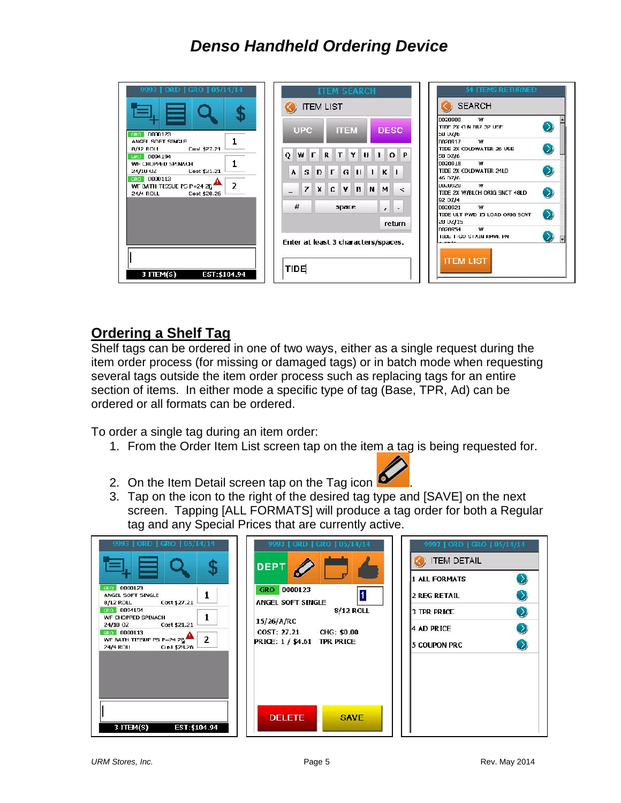| 9993   ORD   GRO   05/14/14                                                     | <b>ITEM SEARCH</b><br><b>ITEM LIST</b>                                           | <b>54 ITEMS RETURNED</b><br><b>SEARCH</b>                               |
|---------------------------------------------------------------------------------|----------------------------------------------------------------------------------|-------------------------------------------------------------------------|
| GRO 0000123                                                                     | <b>UPC</b><br><b>DESC</b><br><b>ITEM</b>                                         | 0020900<br>w<br>$\mathcal{D}$<br>TIDE 2X (1 N BR7 32 USE)<br>50 UZ/6    |
| ANGEL SOFT SINGLE<br>Cust \$27.21<br>8/12 ROLL<br>680 0094194                   | TYUI<br>$O$ $P$<br>$\Omega$<br>W <b>FR</b>                                       | w<br>0020917<br>$\bullet$<br>TIDE 2X COLDWATER 26 USE<br>50 OZ/6        |
| WE CHOPPED SPINACH<br>Cost \$21.21<br>24/10 OZ<br>GRO 0000113                   | $G$ $  $ $  $ $  $ $K$ $  $<br>$D$ $\Gamma$<br>S<br>$\mathbf{A}$                 | w<br>DO20918<br>$\left( \right)$<br>TIDE 2X COLDWATER 24LD<br>46.07/6   |
| $\overline{2}$<br>WE BATH TIGGUE PG P=24 2D<br>Cost \$20.26<br><b>24/4 ROLL</b> | $X$ $C$<br>$\mathbf{z}$<br><b>v</b><br><b>B</b> N M<br>$\prec$<br>$\overline{a}$ | w<br>luusuusu.<br>$\bullet$<br>TIDE 2X W/BLCH ORIG SNCT 48LD<br>92 OZ/4 |
|                                                                                 | #<br>space.<br>$\mathbf{r}$<br><b>return</b>                                     | w<br>0020921<br>TIDE ULT PWD 15 LOAD ORIG SCNT<br>20 0Z/15              |
|                                                                                 | Enter at least 3 characters/spaces.                                              | w<br>10020954<br>TIDE T-GO STAIN RMVR PN<br>$-1$                        |
| 3 <b>ITEM(S)</b><br>EST: \$104.94                                               | TIDE                                                                             | <b>ITEM LIST</b>                                                        |

### **Ordering a Shelf Tag**

Shelf tags can be ordered in one of two ways, either as a single request during the item order process (for missing or damaged tags) or in batch mode when requesting several tags outside the item order process such as replacing tags for an entire section of items. In either mode a specific type of tag (Base, TPR, Ad) can be ordered or all formats can be ordered.

To order a single tag during an item order:

1. From the Order Item List screen tap on the item a tag is being requested for.



- 2. On the Item Detail screen tap on the Tag icon
- 3. Tap on the icon to the right of the desired tag type and [SAVE] on the next screen. Tapping [ALL FORMATS] will produce a tag order for both a Regular tag and any Special Prices that are currently active.



 $\mathbf{\Omega}$ 

 $\mathcal{D}$ 

 $\odot$ 

 $\mathcal{D}$ 

 $\mathcal{D}$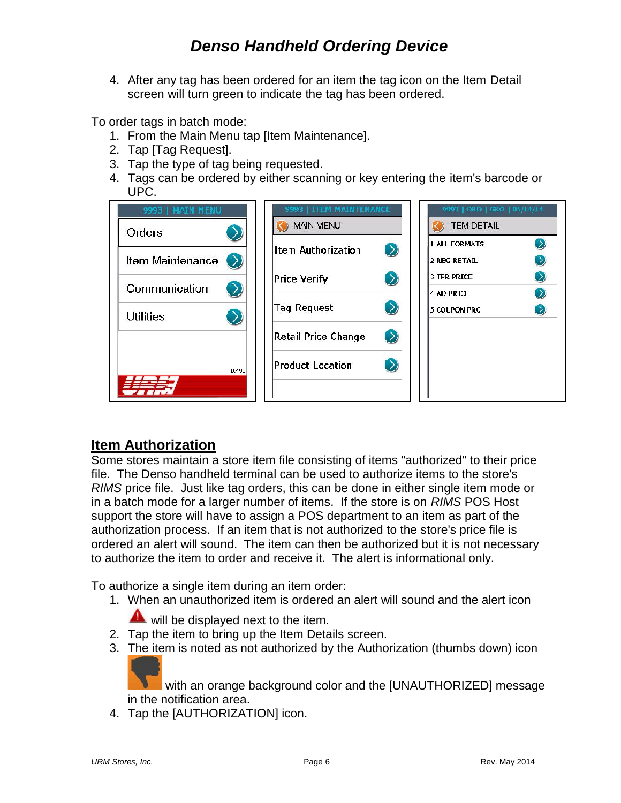4. After any tag has been ordered for an item the tag icon on the Item Detail screen will turn green to indicate the tag has been ordered.

To order tags in batch mode:

- 1. From the Main Menu tap [Item Maintenance].
- 2. Tap [Tag Request].
- 3. Tap the type of tag being requested.
- 4. Tags can be ordered by either scanning or key entering the item's barcode or UPC.

| 9993   MAIN MENU  | 9993   ITEM MAINTENANCE<br><b>MAIN MENU</b> | 9993   ORD   GRO   05/14/14<br><b>ITEM DETAIL</b>        |
|-------------------|---------------------------------------------|----------------------------------------------------------|
| Orders            | Item Authorization                          | $\left( \right)$<br><b>1 ALL FORMATS</b>                 |
| Item Maintenance  | $\left( \right)$                            | <b>2 REG RETAIL</b>                                      |
| Communication     | <b>Price Verify</b><br>$\sum$               | <b>3 TPR PRICE</b><br>$\rightarrow$<br><b>4 AD PRICE</b> |
| <b>Utilities</b>  | <b>Tag Request</b><br>$\left( \right)$      | 5 COUPON PRC                                             |
|                   | Retail Price Change<br>$\left( \right)$     |                                                          |
| 0.19 <sub>b</sub> | <b>Product Location</b><br>$\left( \right)$ |                                                          |

### **Item Authorization**

Some stores maintain a store item file consisting of items "authorized" to their price file. The Denso handheld terminal can be used to authorize items to the store's *RIMS* price file. Just like tag orders, this can be done in either single item mode or in a batch mode for a larger number of items. If the store is on *RIMS* POS Host support the store will have to assign a POS department to an item as part of the authorization process. If an item that is not authorized to the store's price file is ordered an alert will sound. The item can then be authorized but it is not necessary to authorize the item to order and receive it. The alert is informational only.

To authorize a single item during an item order:

1. When an unauthorized item is ordered an alert will sound and the alert icon

will be displayed next to the item.

- 2. Tap the item to bring up the Item Details screen.
- 3. The item is noted as not authorized by the Authorization (thumbs down) icon

 with an orange background color and the [UNAUTHORIZED] message in the notification area.

4. Tap the [AUTHORIZATION] icon.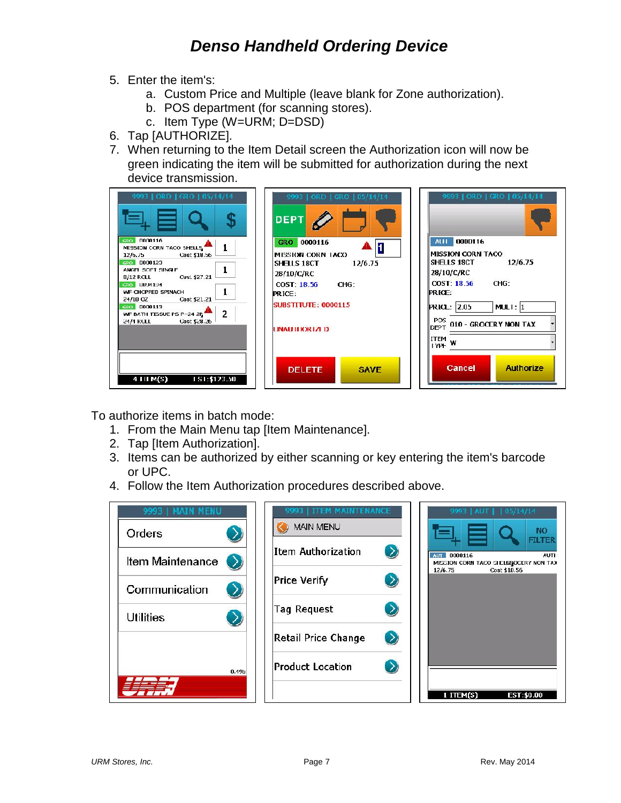- 5. Enter the item's:
	- a. Custom Price and Multiple (leave blank for Zone authorization).
	- b. POS department (for scanning stores).
	- c. Item Type (W=URM; D=DSD)
- 6. Tap [AUTHORIZE].
- 7. When returning to the Item Detail screen the Authorization icon will now be green indicating the item will be submitted for authorization during the next device transmission.

| 9993   ORD   GRO   05/14/14<br>0000116<br><b>GRO</b><br>MISSION CORN TACO SHELLS<br>Cost \$18.56<br>12/6.75<br>GRO 0000123<br>ANGEL SOFT SINGLE<br>Cust \$27.21<br>$B/12$ ROLL<br>GRO LIUVI194<br><b>WF CHOPPED SPINACH</b><br>Cost \$21.21<br>24/10 OZ<br>0000113<br>GRO  <br>-2<br>WF BATH TISSUE PS P-24 2P<br>Cost \$28.26<br>24/4 ROLL | 9993   ORD   GRO   05/14/14<br><b>DEPT</b><br>GRO 0000116<br>H<br>MISSION CORN LACO<br>12/6.75<br>SHELLS 18CT<br>28/10/C/RC<br>COST: 18.56<br>CHG:<br><b>PRICE:</b><br><b>SUBSTITUTE: 0000115</b><br>UNAU ILIORIZI D | 9993   ORD   GRO   05/14/14<br>0000116<br>AUI-<br><b>MISSION CORN TACO</b><br><b>SHELLS 18CT</b><br>12/6.75<br>28/10/C/RC<br>COST: 18.56<br>CHG:<br><b>PRICE:</b><br>MULI: $ 1 $<br><b>PRICL: 2.05</b><br><b>POS</b><br>010 - GROCERY NON TAX<br><b>DEPT</b><br><b>ITEM</b><br>I YPE |
|---------------------------------------------------------------------------------------------------------------------------------------------------------------------------------------------------------------------------------------------------------------------------------------------------------------------------------------------|----------------------------------------------------------------------------------------------------------------------------------------------------------------------------------------------------------------------|--------------------------------------------------------------------------------------------------------------------------------------------------------------------------------------------------------------------------------------------------------------------------------------|
| 151:\$123.50                                                                                                                                                                                                                                                                                                                                | <b>DELETE</b>                                                                                                                                                                                                        | Authorize                                                                                                                                                                                                                                                                            |
| 4 III M(S)                                                                                                                                                                                                                                                                                                                                  | <b>SAVE</b>                                                                                                                                                                                                          | Cancel                                                                                                                                                                                                                                                                               |

To authorize items in batch mode:

- 1. From the Main Menu tap [Item Maintenance].
- 2. Tap [Item Authorization].
- 3. Items can be authorized by either scanning or key entering the item's barcode or UPC.
- 4. Follow the Item Authorization procedures described above.